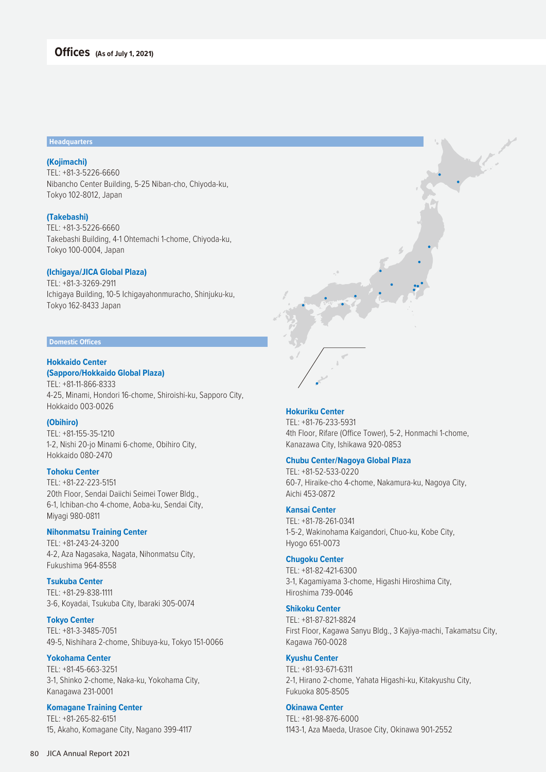#### **Headquarters**

# **(Kojimachi)**

TEL: +81-3-5226-6660 Nibancho Center Building, 5-25 Niban-cho, Chiyoda-ku, Tokyo 102-8012, Japan

## **(Takebashi)**

TEL: +81-3-5226-6660 Takebashi Building, 4-1 Ohtemachi 1-chome, Chiyoda-ku, Tokyo 100-0004, Japan

### **(Ichigaya/JICA Global Plaza)**

TEL: +81-3-3269-2911 Ichigaya Building, 10-5 Ichigayahonmuracho, Shinjuku-ku, Tokyo 162-8433 Japan

#### **Domestic Offices**

### **Hokkaido Center**

**(Sapporo/Hokkaido Global Plaza)** TEL: +81-11-866-8333

4-25, Minami, Hondori 16-chome, Shiroishi-ku, Sapporo City, Hokkaido 003-0026

# **(Obihiro)**

TEL: +81-155-35-1210 1-2, Nishi 20-jo Minami 6-chome, Obihiro City, Hokkaido 080-2470

#### **Tohoku Center**

TEL: +81-22-223-5151 20th Floor, Sendai Daiichi Seimei Tower Bldg., 6-1, Ichiban-cho 4-chome, Aoba-ku, Sendai City, Miyagi 980-0811

# **Nihonmatsu Training Center**

TEL: +81-243-24-3200 4-2, Aza Nagasaka, Nagata, Nihonmatsu City, Fukushima 964-8558

**Tsukuba Center** TEL: +81-29-838-1111 3-6, Koyadai, Tsukuba City, Ibaraki 305-0074

#### **Tokyo Center**

TEL: +81-3-3485-7051 49-5, Nishihara 2-chome, Shibuya-ku, Tokyo 151-0066

# **Yokohama Center**

TEL: +81-45-663-3251 3-1, Shinko 2-chome, Naka-ku, Yokohama City, Kanagawa 231-0001

# **Komagane Training Center** TEL: +81-265-82-6151

15, Akaho, Komagane City, Nagano 399-4117

#### **Hokuriku Center**

TEL: +81-76-233-5931 4th Floor, Rifare (Office Tower), 5-2, Honmachi 1-chome, Kanazawa City, Ishikawa 920-0853

## **Chubu Center/Nagoya Global Plaza**

TEL: +81-52-533-0220 60-7, Hiraike-cho 4-chome, Nakamura-ku, Nagoya City, Aichi 453-0872

# **Kansai Center**

TEL: +81-78-261-0341 1-5-2, Wakinohama Kaigandori, Chuo-ku, Kobe City, Hyogo 651-0073

#### **Chugoku Center**

TEL: +81-82-421-6300 3-1, Kagamiyama 3-chome, Higashi Hiroshima City, Hiroshima 739-0046

## **Shikoku Center**

TEL: +81-87-821-8824 First Floor, Kagawa Sanyu Bldg., 3 Kajiya-machi, Takamatsu City, Kagawa 760-0028

# **Kyushu Center**

TEL: +81-93-671-6311 2-1, Hirano 2-chome, Yahata Higashi-ku, Kitakyushu City, Fukuoka 805-8505

# **Okinawa Center**

TEL: +81-98-876-6000 1143-1, Aza Maeda, Urasoe City, Okinawa 901-2552